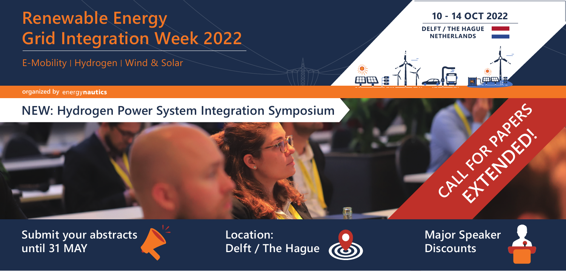# **Renewable Energy Grid Integration Week 2022**

E-Mobility ׀ Hydrogen ׀ Wind & Solar

**10 - 14 OCT 2022 DELFT / THE HAGUE NETHERLANDS**

The papers presented at the Renewable Energy Grid **organized by**

# **NEW: Hydrogen Power System Integration Symposium**



**Submit your abstracts until 31 MAY**



**Location: Delft / The Hague**



●<br>【中午】<br>【中午】

**Major Speaker Discounts**

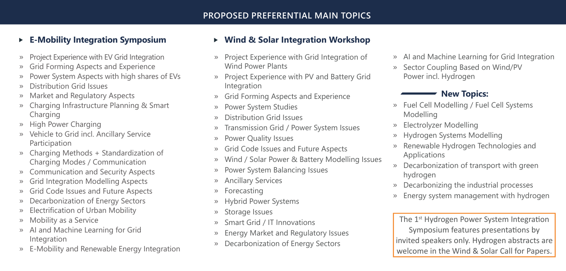### **E-Mobility Integration Symposium**

- » Project Experience with EV Grid Integration
- » Grid Forming Aspects and Experience
- » Power System Aspects with high shares of EVs
- » Distribution Grid Issues
- » Market and Regulatory Aspects
- » Charging Infrastructure Planning & Smart Charging
- » High Power Charging
- » Vehicle to Grid incl. Ancillary Service Participation
- » Charging Methods + Standardization of Charging Modes / Communication
- » Communication and Security Aspects
- » Grid Integration Modelling Aspects
- » Grid Code Issues and Future Aspects
- » Decarbonization of Energy Sectors
- » Electrification of Urban Mobility
- » Mobility as a Service
- » AI and Machine Learning for Grid Integration
- » E-Mobility and Renewable Energy Integration

#### **Wind & Solar Integration Workshop**

- » Project Experience with Grid Integration of Wind Power Plants
- » Project Experience with PV and Battery Grid Integration
- » Grid Forming Aspects and Experience
- » Power System Studies
- » Distribution Grid Issues
- » Transmission Grid / Power System Issues
- » Power Quality Issues
- » Grid Code Issues and Future Aspects
- » Wind / Solar Power & Battery Modelling Issues
- » Power System Balancing Issues
- » Ancillary Services
- » Forecasting
- » Hybrid Power Systems
- » Storage Issues
- » Smart Grid / IT Innovations
- » Energy Market and Regulatory Issues
- » Decarbonization of Energy Sectors
- » AI and Machine Learning for Grid Integration
- » Sector Coupling Based on Wind/PV Power incl. Hydrogen

#### **New Topics:**

- » Fuel Cell Modelling / Fuel Cell Systems Modelling
- » Electrolyzer Modelling
- » Hydrogen Systems Modelling
- » Renewable Hydrogen Technologies and Applications
- » Decarbonization of transport with green hydrogen
- » Decarbonizing the industrial processes
- » Energy system management with hydrogen

The 1<sup>st</sup> Hydrogen Power System Integration Symposium features presentations by invited speakers only. Hydrogen abstracts are welcome in the Wind & Solar Call for Papers.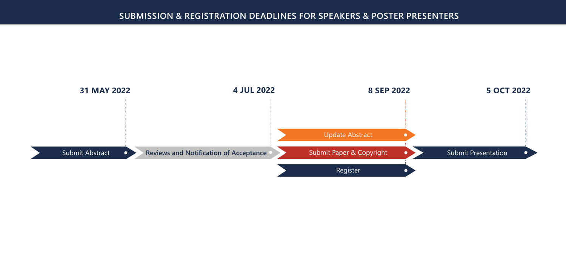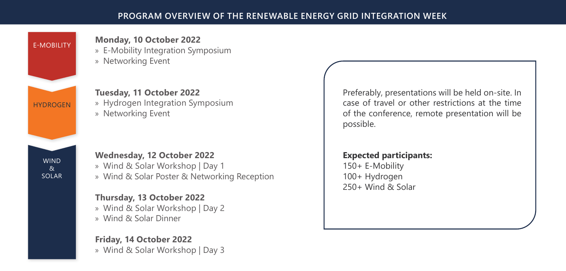

## **Monday, 10 October 2022**

» E-Mobility Integration Symposium » Networking Event

**Tuesday, 11 October 2022** » Hydrogen Integration Symposium » Networking Event

SOLAR

#### **Wednesday, 12 October 2022**

» Wind & Solar Workshop | Day 1 » Wind & Solar Poster & Networking Reception

**Thursday, 13 October 2022** » Wind & Solar Workshop | Day 2 » Wind & Solar Dinner

**Friday, 14 October 2022** » Wind & Solar Workshop | Day 3 Preferably, presentations will be held on-site. In case of travel or other restrictions at the time of the conference, remote presentation will be possible.

# **Expected participants:**

150+ E-Mobility 100+ Hydrogen 250+ Wind & Solar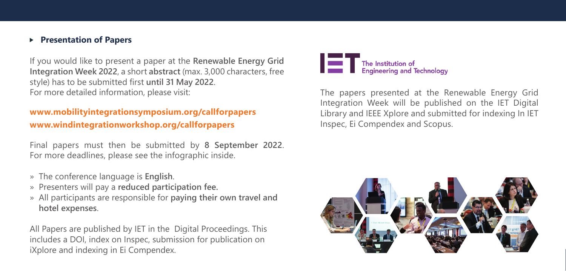#### **Presentation of Papers**

If you would like to present a paper at the **Renewable Energy Grid Integration Week 2022**, a short **abstract** (max. 3,000 characters, free style) has to be submitted first **until 31 May 2022**. For more detailed information, please visit:

### **www.mobilityintegrationsymposium.org/callforpapers www.windintegrationworkshop.org/callforpapers**

Final papers must then be submitted by **8 September 2022**. For more deadlines, please see the infographic inside.

- »The conference language is **English**.
- »Presenters will pay a **reduced participation fee.**
- »All participants are responsible for **paying their own travel and hotel expenses**.

All Papers are published by IET in the Digital Proceedings. This includes a DOI, index on Inspec, submission for publication on iXplore and indexing in Ei Compendex.



The papers presented at the Renewable Energy Grid Integration Week will be published on the IET Digital Library and IEEE Xplore and submitted for indexing In IET